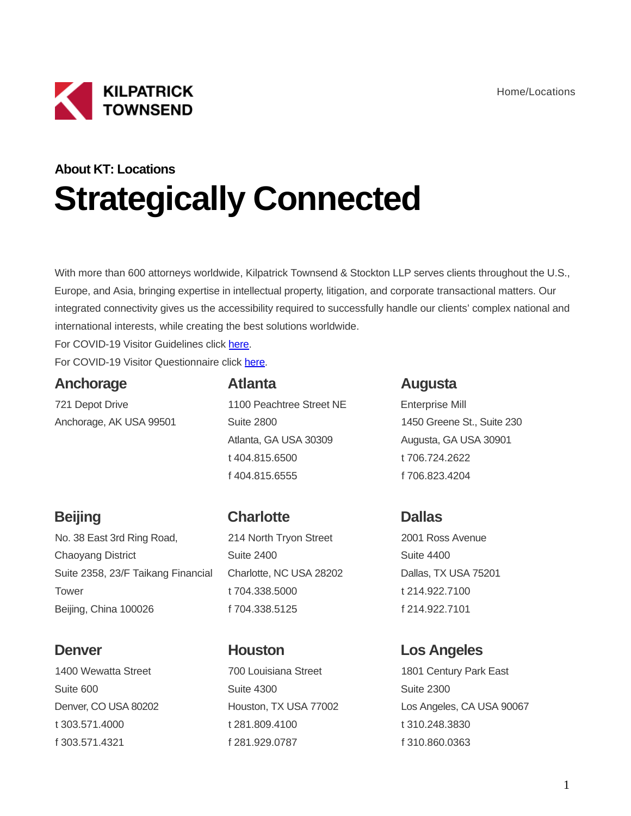

# **About KT: Locations Strategically Connected**

With more than 600 attorneys worldwide, Kilpatrick Townsend & Stockton LLP serves clients throughout the U.S., Europe, and Asia, bringing expertise in intellectual property, litigation, and corporate transactional matters. Our integrated connectivity gives us the accessibility required to successfully handle our clients' complex national and international interests, while creating the best solutions worldwide.

For COVID-19 Visitor Guidelines click [here.](https://kilpatricktownsend.com/en/-/media/C32CB8F6E560421788EE15909126DA23.ashx)

For COVID-19 Visitor Questionnaire click [here.](https://kilpatricktownsend.com/en/-/media/26C062809B0C4D6C9617E0BB3B4FD637.ashx)

### **Anchorage**

721 Depot Drive Anchorage, AK USA 99501

#### **Atlanta**

1100 Peachtree Street NE Suite 2800 Atlanta, GA USA 30309 t 404.815.6500 f 404.815.6555

### **Augusta**

Enterprise Mill 1450 Greene St., Suite 230 Augusta, GA USA 30901 t 706.724.2622 f 706.823.4204

# **Beijing**

No. 38 East 3rd Ring Road, Chaoyang District Suite 2358, 23/F Taikang Financial **Tower** Beijing, China 100026

### **Denver**

1400 Wewatta Street Suite 600 Denver, CO USA 80202 t 303.571.4000 f 303.571.4321

# **Charlotte**

214 North Tryon Street Suite 2400 Charlotte, NC USA 28202 t 704.338.5000 f 704.338.5125

# **Houston**

700 Louisiana Street Suite 4300 Houston, TX USA 77002 t 281.809.4100 f 281.929.0787

# **Dallas**

2001 Ross Avenue Suite 4400 Dallas, TX USA 75201 t 214.922.7100 f 214.922.7101

### **Los Angeles**

1801 Century Park East Suite 2300 Los Angeles, CA USA 90067 t 310.248.3830 f 310.860.0363